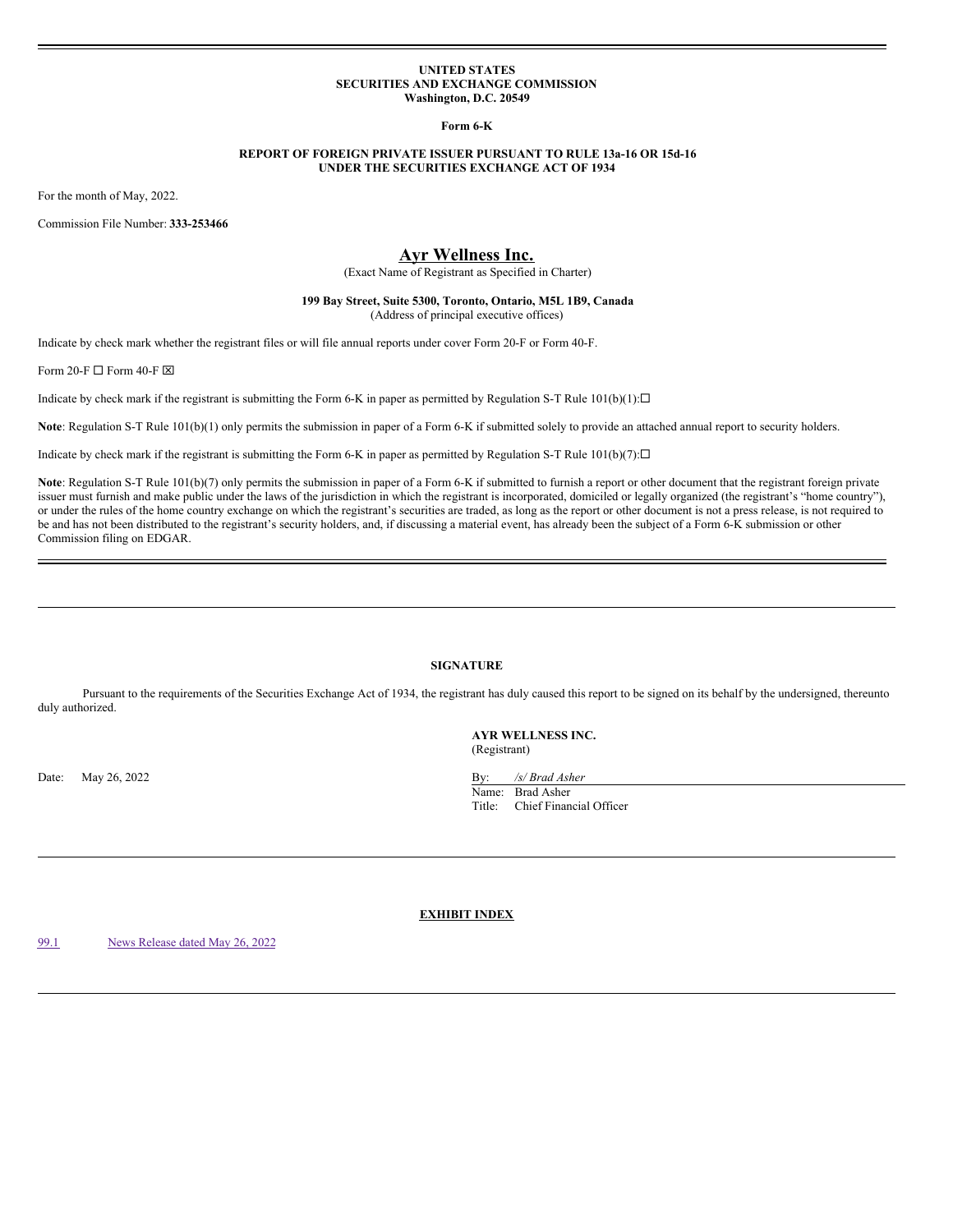#### **UNITED STATES SECURITIES AND EXCHANGE COMMISSION Washington, D.C. 20549**

**Form 6-K**

# **REPORT OF FOREIGN PRIVATE ISSUER PURSUANT TO RULE 13a-16 OR 15d-16 UNDER THE SECURITIES EXCHANGE ACT OF 1934**

For the month of May, 2022.

Commission File Number: **333-253466**

# **Ayr Wellness Inc.**

(Exact Name of Registrant as Specified in Charter)

## **199 Bay Street, Suite 5300, Toronto, Ontario, M5L 1B9, Canada** (Address of principal executive offices)

Indicate by check mark whether the registrant files or will file annual reports under cover Form 20-F or Form 40-F.

Form 20-F  $\Box$  Form 40-F  $\boxtimes$ 

Indicate by check mark if the registrant is submitting the Form 6-K in paper as permitted by Regulation S-T Rule  $101(b)(1): \Box$ 

**Note**: Regulation S-T Rule 101(b)(1) only permits the submission in paper of a Form 6-K if submitted solely to provide an attached annual report to security holders.

Indicate by check mark if the registrant is submitting the Form 6-K in paper as permitted by Regulation S-T Rule  $101(b)(7): \Box$ 

Note: Regulation S-T Rule 101(b)(7) only permits the submission in paper of a Form 6-K if submitted to furnish a report or other document that the registrant foreign private issuer must furnish and make public under the laws of the jurisdiction in which the registrant is incorporated, domiciled or legally organized (the registrant's "home country"), or under the rules of the home country exchange on which the registrant's securities are traded, as long as the report or other document is not a press release, is not required to be and has not been distributed to the registrant's security holders, and, if discussing a material event, has already been the subject of a Form 6-K submission or other Commission filing on EDGAR.

# **SIGNATURE**

Pursuant to the requirements of the Securities Exchange Act of 1934, the registrant has duly caused this report to be signed on its behalf by the undersigned, thereunto duly authorized.

Date: May 26, 2022 By: */s/ Brad Asher* By: */s/ Brad Asher* 

**AYR WELLNESS INC.** (Registrant)

Name: Brad Asher Title: Chief Financial Officer

**EXHIBIT INDEX**

[99.1](#page-3-0) News [Release](#page-3-0) dated May 26, 2022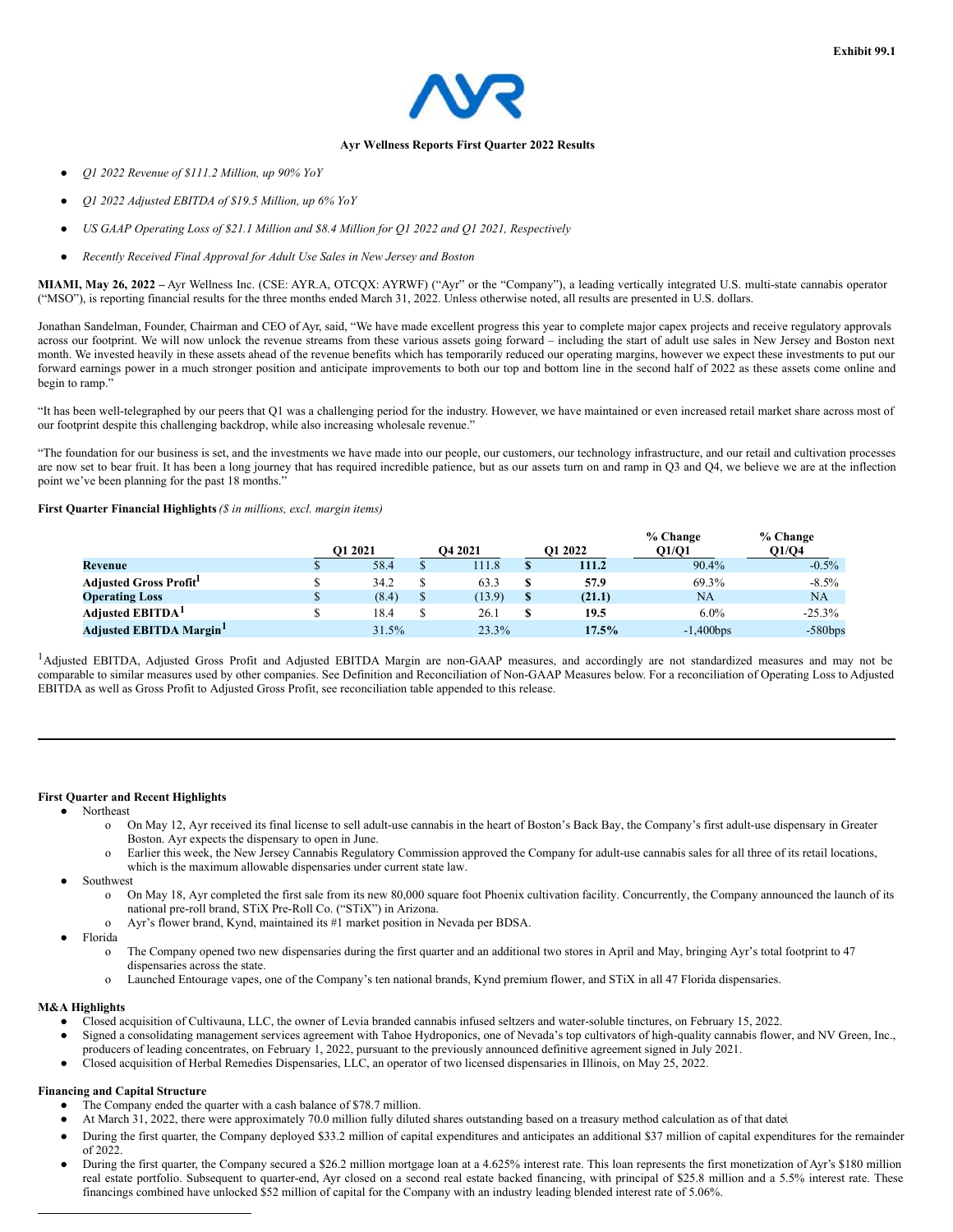

#### **Ayr Wellness Reports First Quarter 2022 Results**

- *Q1 2022 Revenue of \$111.2 Million, up 90% YoY*
- *Q1 2022 Adjusted EBITDA of \$19.5 Million, up 6% YoY*
- *US GAAP Operating Loss of \$21.1 Million and \$8.4 Million for Q1 2022 and Q1 2021, Respectively*
- *Recently Received Final Approval for Adult Use Sales in New Jersey and Boston*

**MIAMI, May 26, 2022 –** Ayr Wellness Inc. (CSE: AYR.A, OTCQX: AYRWF) ("Ayr" or the "Company"), a leading vertically integrated U.S. multi-state cannabis operator ("MSO"), is reporting financial results for the three months ended March 31, 2022. Unless otherwise noted, all results are presented in U.S. dollars.

Jonathan Sandelman, Founder, Chairman and CEO of Ayr, said, "We have made excellent progress this year to complete major capex projects and receive regulatory approvals across our footprint. We will now unlock the revenue streams from these various assets going forward – including the start of adult use sales in New Jersey and Boston next month. We invested heavily in these assets ahead of the revenue benefits which has temporarily reduced our operating margins, however we expect these investments to put our forward earnings power in a much stronger position and anticipate improvements to both our top and bottom line in the second half of 2022 as these assets come online and begin to ramp.

"It has been well-telegraphed by our peers that Q1 was a challenging period for the industry. However, we have maintained or even increased retail market share across most of our footprint despite this challenging backdrop, while also increasing wholesale revenue."

"The foundation for our business is set, and the investments we have made into our people, our customers, our technology infrastructure, and our retail and cultivation processes are now set to bear fruit. It has been a long journey that has required incredible patience, but as our assets turn on and ramp in Q3 and Q4, we believe we are at the inflection point we've been planning for the past 18 months."

# **First Quarter Financial Highlights***(\$ in millions, excl. margin items)*

|                               | <b>O1 2021</b> | O <sub>4</sub> 2021 | <b>O1 2022</b> | % Change<br>Q1/Q1 | $%$ Change<br>Q1/Q4 |
|-------------------------------|----------------|---------------------|----------------|-------------------|---------------------|
| Revenue                       | 58.4           | 11.8                | 111.2          | 90.4%             | $-0.5\%$            |
| <b>Adjusted Gross Profit</b>  | 34.2           | 63.3                | 57.9           | 69.3%             | $-8.5\%$            |
| <b>Operating Loss</b>         | (8.4)          | (13.9)              | (21.1)         | <b>NA</b>         | NA                  |
| Adjusted EBITDA <sup>1</sup>  | 18.4           | 26.1                | 19.5           | $6.0\%$           | $-25.3%$            |
| <b>Adjusted EBITDA Margin</b> | 31.5%          | 23.3%               | 17.5%          | $-1,400$ bps      | $-580bps$           |

<sup>1</sup>Adjusted EBITDA, Adjusted Gross Profit and Adjusted EBITDA Margin are non-GAAP measures, and accordingly are not standardized measures and may not be comparable to similar measures used by other companies. See Definition and Reconciliation of Non-GAAP Measures below. For a reconciliation of Operating Loss to Adjusted EBITDA as well as Gross Profit to Adjusted Gross Profit, see reconciliation table appended to this release.

# **First Quarter and Recent Highlights**

- **Northeast** 
	- o On May 12, Ayr received its final license to sell adult-use cannabis in the heart of Boston's Back Bay, the Company's first adult-use dispensary in Greater Boston. Ayr expects the dispensary to open in June.
	- o Earlier this week, the New Jersey Cannabis Regulatory Commission approved the Company for adult-use cannabis sales for all three of its retail locations, which is the maximum allowable dispensaries under current state law.
- Southwest
	- o On May 18, Ayr completed the first sale from its new 80,000 square foot Phoenix cultivation facility. Concurrently, the Company announced the launch of its national pre-roll brand, STiX Pre-Roll Co. ("STiX") in Arizona.
	- o Ayr's flower brand, Kynd, maintained its #1 market position in Nevada per BDSA.
- Florida
	- o The Company opened two new dispensaries during the first quarter and an additional two stores in April and May, bringing Ayr's total footprint to 47 dispensaries across the state.
	- o Launched Entourage vapes, one of the Company's ten national brands, Kynd premium flower, and STiX in all 47 Florida dispensaries.

# **M&A Highlights**

- Closed acquisition of Cultivauna, LLC, the owner of Levia branded cannabis infused seltzers and water-soluble tinctures, on February 15, 2022.
- Signed a consolidating management services agreement with Tahoe Hydroponics, one of Nevada's top cultivators of high-quality cannabis flower, and NV Green, Inc., producers of leading concentrates, on February 1, 2022, pursuant to the previously announced definitive agreement signed in July 2021.
- Closed acquisition of Herbal Remedies Dispensaries, LLC, an operator of two licensed dispensaries in Illinois, on May 25, 2022.

# **Financing and Capital Structure**

- The Company ended the quarter with a cash balance of \$78.7 million.
- At March 31, 2022, there were approximately 70.0 million fully diluted shares outstanding based on a treasury method calculation as of that date.
- During the first quarter, the Company deployed \$33.2 million of capital expenditures and anticipates an additional \$37 million of capital expenditures for the remainder of 2022.
- During the first quarter, the Company secured a \$26.2 million mortgage loan at a 4.625% interest rate. This loan represents the first monetization of Ayr's \$180 million real estate portfolio. Subsequent to quarter-end, Ayr closed on a second real estate backed financing, with principal of \$25.8 million and a 5.5% interest rate. These financings combined have unlocked \$52 million of capital for the Company with an industry leading blended interest rate of 5.06%.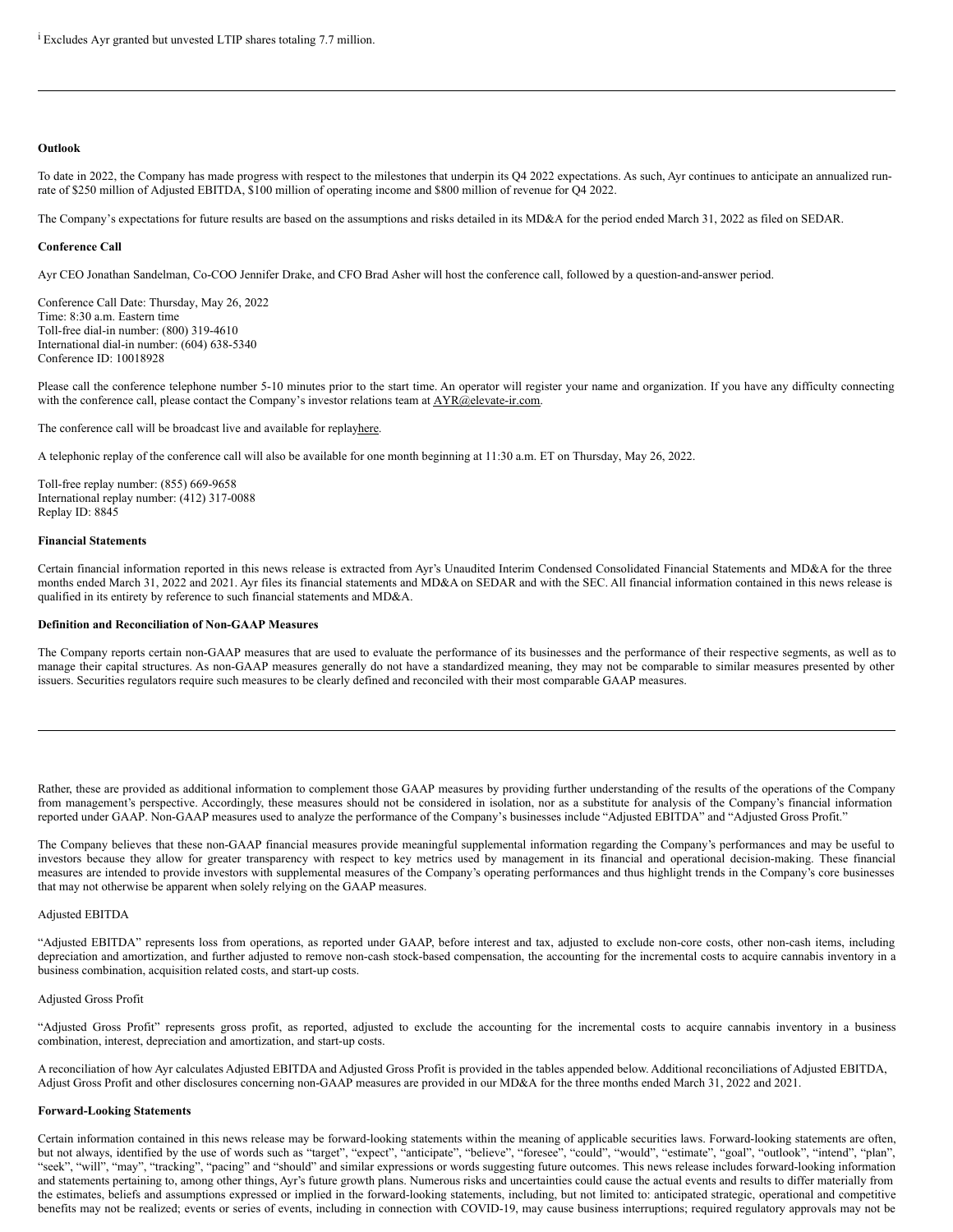## **Outlook**

To date in 2022, the Company has made progress with respect to the milestones that underpin its Q4 2022 expectations. As such, Ayr continues to anticipate an annualized runrate of \$250 million of Adjusted EBITDA, \$100 million of operating income and \$800 million of revenue for Q4 2022.

The Company's expectations for future results are based on the assumptions and risks detailed in its MD&A for the period ended March 31, 2022 as filed on SEDAR.

## **Conference Call**

Ayr CEO Jonathan Sandelman, Co-COO Jennifer Drake, and CFO Brad Asher will host the conference call, followed by a question-and-answer period.

Conference Call Date: Thursday, May 26, 2022 Time: 8:30 a.m. Eastern time Toll-free dial-in number: (800) 319-4610 International dial-in number: (604) 638-5340 Conference ID: 10018928

Please call the conference telephone number 5-10 minutes prior to the start time. An operator will register your name and organization. If you have any difficulty connecting with the conference call, please contact the Company's investor relations team at  $\triangle YR@elevate-ir.com$ .

The conference call will be broadcast live and available for replayhere.

A telephonic replay of the conference call will also be available for one month beginning at 11:30 a.m. ET on Thursday, May 26, 2022.

Toll-free replay number: (855) 669-9658 International replay number: (412) 317-0088 Replay ID: 8845

#### **Financial Statements**

Certain financial information reported in this news release is extracted from Ayr's Unaudited Interim Condensed Consolidated Financial Statements and MD&A for the three months ended March 31, 2022 and 2021. Ayr files its financial statements and MD&A on SEDAR and with the SEC. All financial information contained in this news release is qualified in its entirety by reference to such financial statements and MD&A.

# **Definition and Reconciliation of Non-GAAP Measures**

The Company reports certain non-GAAP measures that are used to evaluate the performance of its businesses and the performance of their respective segments, as well as to manage their capital structures. As non-GAAP measures generally do not have a standardized meaning, they may not be comparable to similar measures presented by other issuers. Securities regulators require such measures to be clearly defined and reconciled with their most comparable GAAP measures.

Rather, these are provided as additional information to complement those GAAP measures by providing further understanding of the results of the operations of the Company from management's perspective. Accordingly, these measures should not be considered in isolation, nor as a substitute for analysis of the Company's financial information reported under GAAP. Non-GAAP measures used to analyze the performance of the Company's businesses include "Adjusted EBITDA" and "Adjusted Gross Profit."

The Company believes that these non-GAAP financial measures provide meaningful supplemental information regarding the Company's performances and may be useful to investors because they allow for greater transparency with respect to key metrics used by management in its financial and operational decision-making. These financial measures are intended to provide investors with supplemental measures of the Company's operating performances and thus highlight trends in the Company's core businesses that may not otherwise be apparent when solely relying on the GAAP measures.

# Adjusted EBITDA

"Adjusted EBITDA" represents loss from operations, as reported under GAAP, before interest and tax, adjusted to exclude non-core costs, other non-cash items, including depreciation and amortization, and further adjusted to remove non-cash stock-based compensation, the accounting for the incremental costs to acquire cannabis inventory in a business combination, acquisition related costs, and start-up costs.

#### Adjusted Gross Profit

"Adjusted Gross Profit" represents gross profit, as reported, adjusted to exclude the accounting for the incremental costs to acquire cannabis inventory in a business combination, interest, depreciation and amortization, and start-up costs.

A reconciliation of how Ayr calculates Adjusted EBITDA and Adjusted Gross Profit is provided in the tables appended below. Additional reconciliations of Adjusted EBITDA, Adjust Gross Profit and other disclosures concerning non-GAAP measures are provided in our MD&A for the three months ended March 31, 2022 and 2021.

#### **Forward-Looking Statements**

Certain information contained in this news release may be forward-looking statements within the meaning of applicable securities laws. Forward-looking statements are often, but not always, identified by the use of words such as "target", "expect", "anticipate", "believe", "foresee", "could", "would", "estimate", "goal", "outlook", "intend", "plan", "seek", "will", "may", "tracking", "pacing" and "should" and similar expressions or words suggesting future outcomes. This news release includes forward-looking information and statements pertaining to, among other things, Ayr's future growth plans. Numerous risks and uncertainties could cause the actual events and results to differ materially from the estimates, beliefs and assumptions expressed or implied in the forward-looking statements, including, but not limited to: anticipated strategic, operational and competitive benefits may not be realized; events or series of events, including in connection with COVID-19, may cause business interruptions; required regulatory approvals may not be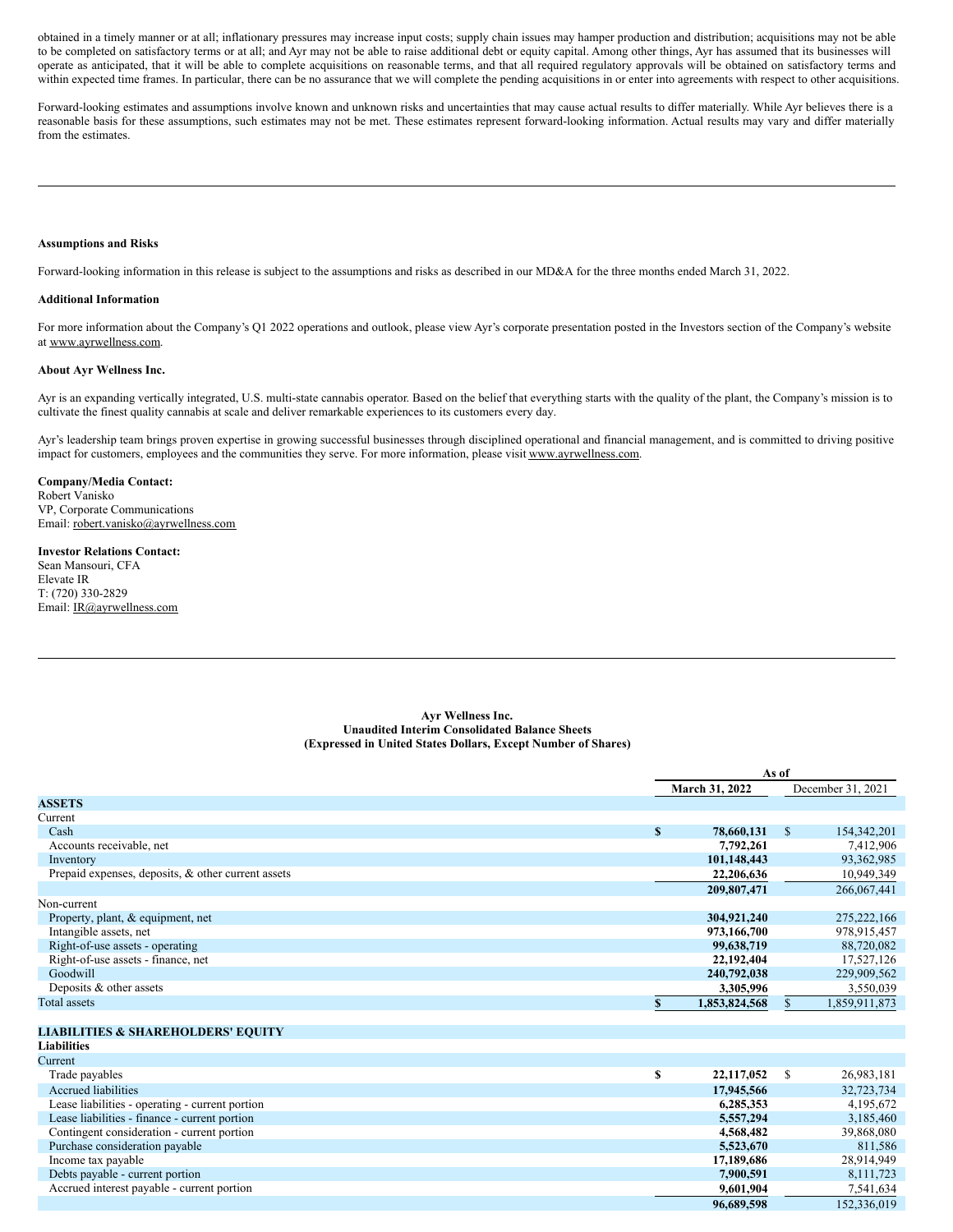<span id="page-3-0"></span>obtained in a timely manner or at all; inflationary pressures may increase input costs; supply chain issues may hamper production and distribution; acquisitions may not be able to be completed on satisfactory terms or at all; and Ayr may not be able to raise additional debt or equity capital. Among other things, Ayr has assumed that its businesses will operate as anticipated, that it will be able to complete acquisitions on reasonable terms, and that all required regulatory approvals will be obtained on satisfactory terms and within expected time frames. In particular, there can be no assurance that we will complete the pending acquisitions in or enter into agreements with respect to other acquisitions.

Forward-looking estimates and assumptions involve known and unknown risks and uncertainties that may cause actual results to differ materially. While Ayr believes there is a reasonable basis for these assumptions, such estimates may not be met. These estimates represent forward-looking information. Actual results may vary and differ materially from the estimates.

#### **Assumptions and Risks**

Forward-looking information in this release is subject to the assumptions and risks as described in our MD&A for the three months ended March 31, 2022.

#### **Additional Information**

For more information about the Company's Q1 2022 operations and outlook, please view Ayr's corporate presentation posted in the Investors section of the Company's website at www.ayrwellness.com.

## **About Ayr Wellness Inc.**

Ayr is an expanding vertically integrated, U.S. multi-state cannabis operator. Based on the belief that everything starts with the quality of the plant, the Company's mission is to cultivate the finest quality cannabis at scale and deliver remarkable experiences to its customers every day.

Ayr's leadership team brings proven expertise in growing successful businesses through disciplined operational and financial management, and is committed to driving positive impact for customers, employees and the communities they serve. For more information, please visit www.ayrwellness.com.

# **Company/Media Contact:**

Robert Vanisko VP, Corporate Communications Email: robert.vanisko@ayrwellness.com

#### **Investor Relations Contact:**

Sean Mansouri, CFA Elevate IR T: (720) 330-2829 Email: IR@ayrwellness.com

#### **Ayr Wellness Inc. Unaudited Interim Consolidated Balance Sheets (Expressed in United States Dollars, Except Number of Shares)**

|                                                    |    | As of          |               |                   |
|----------------------------------------------------|----|----------------|---------------|-------------------|
|                                                    |    | March 31, 2022 |               | December 31, 2021 |
| <b>ASSETS</b>                                      |    |                |               |                   |
| Current                                            |    |                |               |                   |
| Cash                                               | S  | 78,660,131     | $\mathbb{S}$  | 154, 342, 201     |
| Accounts receivable, net                           |    | 7,792,261      |               | 7,412,906         |
| Inventory                                          |    | 101,148,443    |               | 93,362,985        |
| Prepaid expenses, deposits, & other current assets |    | 22.206.636     |               | 10,949,349        |
|                                                    |    | 209,807,471    |               | 266,067,441       |
| Non-current                                        |    |                |               |                   |
| Property, plant, & equipment, net                  |    | 304,921,240    |               | 275, 222, 166     |
| Intangible assets, net                             |    | 973,166,700    |               | 978,915,457       |
| Right-of-use assets - operating                    |    | 99,638,719     |               | 88,720,082        |
| Right-of-use assets - finance, net                 |    | 22,192,404     |               | 17,527,126        |
| Goodwill                                           |    | 240,792,038    |               | 229,909,562       |
| Deposits & other assets                            |    | 3,305,996      |               | 3,550,039         |
| <b>Total assets</b>                                | S. | 1,853,824,568  | \$.           | 1,859,911,873     |
|                                                    |    |                |               |                   |
| <b>LIABILITIES &amp; SHAREHOLDERS' EQUITY</b>      |    |                |               |                   |
| Liabilities                                        |    |                |               |                   |
| Current                                            |    |                |               |                   |
| Trade payables                                     | \$ | 22,117,052     | <sup>\$</sup> | 26,983,181        |
| <b>Accrued liabilities</b>                         |    | 17,945,566     |               | 32,723,734        |
| Lease liabilities - operating - current portion    |    | 6,285,353      |               | 4,195,672         |
| Lease liabilities - finance - current portion      |    | 5,557,294      |               | 3,185,460         |
| Contingent consideration - current portion         |    | 4,568,482      |               | 39,868,080        |
| Purchase consideration payable                     |    | 5,523,670      |               | 811,586           |
| Income tax payable                                 |    | 17,189,686     |               | 28,914,949        |
| Debts payable - current portion                    |    | 7,900,591      |               | 8,111,723         |
| Accrued interest payable - current portion         |    | 9.601.904      |               | 7.541.634         |

**96,689,598** 152,336,019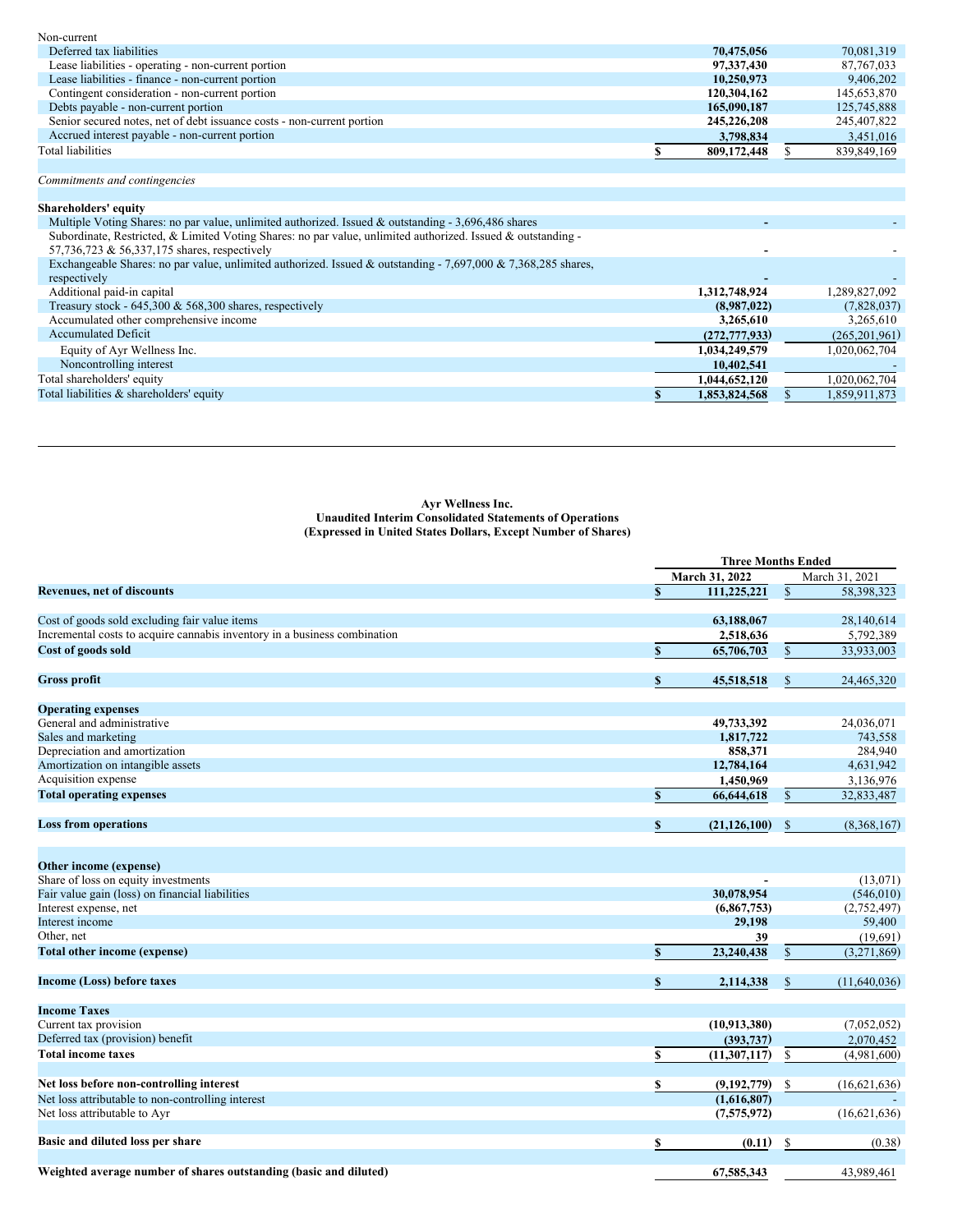| Non-current                                                            |             |              |
|------------------------------------------------------------------------|-------------|--------------|
| Deferred tax liabilities                                               | 70.475.056  | 70.081.319   |
| Lease liabilities - operating - non-current portion                    | 97,337,430  | 87, 767, 033 |
| Lease liabilities - finance - non-current portion                      | 10.250.973  | 9.406.202    |
| Contingent consideration - non-current portion                         | 120,304,162 | 145,653,870  |
| Debts payable - non-current portion                                    | 165,090,187 | 125,745,888  |
| Senior secured notes, net of debt issuance costs - non-current portion | 245,226,208 | 245,407,822  |
| Accrued interest payable - non-current portion                         | 3,798,834   | 3,451,016    |
| Total liabilities                                                      | 809,172,448 | 839,849,169  |

# *Commitments and contingencies*

| Shareholders' equity                                                                                          |                 |                 |
|---------------------------------------------------------------------------------------------------------------|-----------------|-----------------|
| Multiple Voting Shares: no par value, unlimited authorized. Issued & outstanding - 3,696,486 shares           |                 |                 |
| Subordinate, Restricted, & Limited Voting Shares: no par value, unlimited authorized. Issued & outstanding -  |                 |                 |
| 57,736,723 & 56,337,175 shares, respectively                                                                  |                 |                 |
| Exchangeable Shares: no par value, unlimited authorized. Issued & outstanding - 7,697,000 & 7,368,285 shares, |                 |                 |
| respectively                                                                                                  |                 |                 |
| Additional paid-in capital                                                                                    | 1,312,748,924   | 1,289,827,092   |
| Treasury stock - $645,300 \& 568,300$ shares, respectively                                                    | (8.987.022)     | (7,828,037)     |
| Accumulated other comprehensive income                                                                        | 3,265,610       | 3,265,610       |
| <b>Accumulated Deficit</b>                                                                                    | (272, 777, 933) | (265, 201, 961) |
| Equity of Ayr Wellness Inc.                                                                                   | 1,034,249,579   | 1,020,062,704   |
| Noncontrolling interest                                                                                       | 10.402.541      |                 |
| Total shareholders' equity                                                                                    | 1,044,652,120   | 1,020,062,704   |
| Total liabilities & shareholders' equity                                                                      | 1,853,824,568   | 1,859,911,873   |
|                                                                                                               |                 |                 |

# **Ayr Wellness Inc. Unaudited Interim Consolidated Statements of Operations (Expressed in United States Dollars, Except Number of Shares)**

|                                                                           |              | <b>Three Months Ended</b> |               |                |
|---------------------------------------------------------------------------|--------------|---------------------------|---------------|----------------|
|                                                                           |              | March 31, 2022            |               | March 31, 2021 |
| <b>Revenues, net of discounts</b>                                         | \$           | 111,225,221               | \$            | 58,398,323     |
|                                                                           |              |                           |               |                |
| Cost of goods sold excluding fair value items                             |              | 63,188,067                |               | 28,140,614     |
| Incremental costs to acquire cannabis inventory in a business combination |              | 2,518,636                 |               | 5,792,389      |
| Cost of goods sold                                                        | $\mathbf S$  | 65,706,703                | $\mathbb{S}$  | 33,933,003     |
| <b>Gross profit</b>                                                       | S            | 45,518,518                | S             | 24,465,320     |
| <b>Operating expenses</b>                                                 |              |                           |               |                |
| General and administrative                                                |              | 49,733,392                |               | 24,036,071     |
| Sales and marketing                                                       |              | 1,817,722                 |               | 743,558        |
| Depreciation and amortization                                             |              | 858.371                   |               | 284,940        |
| Amortization on intangible assets                                         |              | 12,784,164                |               | 4,631,942      |
| Acquisition expense                                                       |              | 1,450,969                 |               | 3,136,976      |
| <b>Total operating expenses</b>                                           | $\mathbf{s}$ | 66,644,618                | $\mathbb{S}$  | 32,833,487     |
| <b>Loss from operations</b>                                               | \$           | (21, 126, 100)            | \$            | (8,368,167)    |
| Other income (expense)                                                    |              |                           |               |                |
| Share of loss on equity investments                                       |              |                           |               | (13,071)       |
| Fair value gain (loss) on financial liabilities                           |              | 30,078,954                |               | (546, 010)     |
| Interest expense, net                                                     |              | (6,867,753)               |               | (2, 752, 497)  |
| Interest income                                                           |              | 29.198                    |               | 59,400         |
| Other, net                                                                |              | 39                        |               | (19,691)       |
| <b>Total other income (expense)</b>                                       | $\mathbf{s}$ | 23,240,438                | $\mathbb{S}$  | (3,271,869)    |
| Income (Loss) before taxes                                                | S            | 2,114,338                 | \$            | (11,640,036)   |
| <b>Income Taxes</b>                                                       |              |                           |               |                |
| Current tax provision                                                     |              | (10, 913, 380)            |               | (7,052,052)    |
| Deferred tax (provision) benefit                                          |              | (393, 737)                |               | 2,070,452      |
| <b>Total income taxes</b>                                                 | \$           | (11, 307, 117)            | \$            | (4,981,600)    |
| Net loss before non-controlling interest                                  | \$           | (9,192,779)               | <sup>\$</sup> | (16,621,636)   |
| Net loss attributable to non-controlling interest                         |              | (1,616,807)               |               |                |
| Net loss attributable to Ayr                                              |              | (7,575,972)               |               | (16,621,636)   |
| Basic and diluted loss per share                                          | \$           | (0.11)                    | \$            | (0.38)         |
|                                                                           |              |                           |               |                |
| Weighted average number of shares outstanding (basic and diluted)         |              | 67,585,343                |               | 43,989,461     |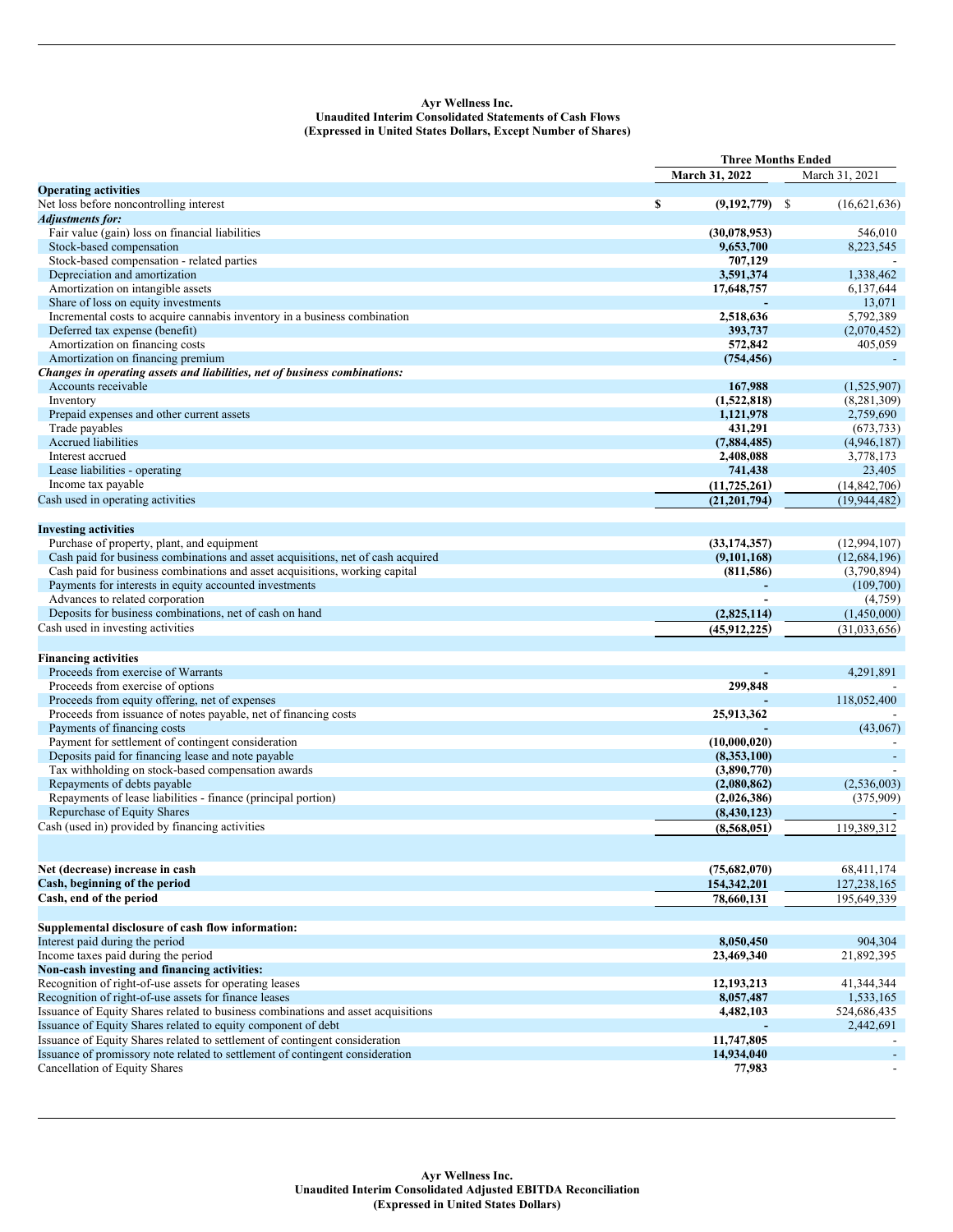## **Ayr Wellness Inc. Unaudited Interim Consolidated Statements of Cash Flows (Expressed in United States Dollars, Except Number of Shares)**

|                                                                                   | <b>Three Months Ended</b> |  |                |
|-----------------------------------------------------------------------------------|---------------------------|--|----------------|
|                                                                                   | March 31, 2022            |  | March 31, 2021 |
| <b>Operating activities</b>                                                       |                           |  |                |
| Net loss before noncontrolling interest                                           | \$<br>$(9,192,779)$ \$    |  | (16,621,636)   |
| <b>Adjustments for:</b>                                                           |                           |  |                |
| Fair value (gain) loss on financial liabilities                                   | (30,078,953)              |  | 546,010        |
| Stock-based compensation                                                          | 9,653,700                 |  | 8,223,545      |
| Stock-based compensation - related parties                                        | 707,129                   |  |                |
|                                                                                   |                           |  |                |
| Depreciation and amortization                                                     | 3,591,374                 |  | 1,338,462      |
| Amortization on intangible assets                                                 | 17,648,757                |  | 6,137,644      |
| Share of loss on equity investments                                               |                           |  | 13,071         |
| Incremental costs to acquire cannabis inventory in a business combination         | 2,518,636                 |  | 5,792,389      |
| Deferred tax expense (benefit)                                                    | 393,737                   |  | (2,070,452)    |
| Amortization on financing costs                                                   | 572,842                   |  | 405,059        |
| Amortization on financing premium                                                 | (754, 456)                |  |                |
| Changes in operating assets and liabilities, net of business combinations:        |                           |  |                |
| Accounts receivable                                                               | 167,988                   |  | (1,525,907)    |
| Inventory                                                                         | (1,522,818)               |  | (8, 281, 309)  |
| Prepaid expenses and other current assets                                         | 1,121,978                 |  | 2,759,690      |
| Trade payables                                                                    | 431,291                   |  | (673, 733)     |
| Accrued liabilities                                                               | (7,884,485)               |  | (4,946,187)    |
| Interest accrued                                                                  |                           |  |                |
|                                                                                   | 2,408,088                 |  | 3,778,173      |
| Lease liabilities - operating                                                     | 741,438                   |  | 23,405         |
| Income tax payable                                                                | (11, 725, 261)            |  | (14, 842, 706) |
| Cash used in operating activities                                                 | (21, 201, 794)            |  | (19, 944, 482) |
|                                                                                   |                           |  |                |
| <b>Investing activities</b>                                                       |                           |  |                |
| Purchase of property, plant, and equipment                                        | (33, 174, 357)            |  | (12,994,107)   |
| Cash paid for business combinations and asset acquisitions, net of cash acquired  | (9,101,168)               |  | (12, 684, 196) |
| Cash paid for business combinations and asset acquisitions, working capital       | (811,586)                 |  | (3,790,894)    |
| Payments for interests in equity accounted investments                            |                           |  | (109,700)      |
| Advances to related corporation                                                   |                           |  | (4,759)        |
| Deposits for business combinations, net of cash on hand                           |                           |  |                |
|                                                                                   | (2,825,114)               |  | (1,450,000)    |
| Cash used in investing activities                                                 | (45, 912, 225)            |  | (31,033,656)   |
|                                                                                   |                           |  |                |
| <b>Financing activities</b>                                                       |                           |  |                |
| Proceeds from exercise of Warrants                                                |                           |  | 4,291,891      |
| Proceeds from exercise of options                                                 | 299,848                   |  |                |
| Proceeds from equity offering, net of expenses                                    |                           |  | 118,052,400    |
| Proceeds from issuance of notes payable, net of financing costs                   | 25,913,362                |  |                |
| Payments of financing costs                                                       |                           |  | (43,067)       |
| Payment for settlement of contingent consideration                                | (10,000,020)              |  |                |
| Deposits paid for financing lease and note payable                                | (8,353,100)               |  |                |
| Tax withholding on stock-based compensation awards                                | (3,890,770)               |  |                |
| Repayments of debts payable                                                       | (2,080,862)               |  | (2,536,003)    |
| Repayments of lease liabilities - finance (principal portion)                     |                           |  | (375,909)      |
|                                                                                   | (2,026,386)               |  |                |
| Repurchase of Equity Shares                                                       | (8,430,123)               |  |                |
| Cash (used in) provided by financing activities                                   | (8,568,051)               |  | 119,389,312    |
|                                                                                   |                           |  |                |
|                                                                                   |                           |  |                |
| Net (decrease) increase in cash                                                   | (75,682,070)              |  | 68,411,174     |
| Cash, beginning of the period                                                     | 154,342,201               |  | 127,238,165    |
| Cash, end of the period                                                           | 78,660,131                |  | 195,649,339    |
|                                                                                   |                           |  |                |
| Supplemental disclosure of cash flow information:                                 |                           |  |                |
| Interest paid during the period                                                   |                           |  |                |
|                                                                                   | 8,050,450                 |  | 904,304        |
| Income taxes paid during the period                                               | 23,469,340                |  | 21,892,395     |
| Non-cash investing and financing activities:                                      |                           |  |                |
| Recognition of right-of-use assets for operating leases                           | 12,193,213                |  | 41,344,344     |
| Recognition of right-of-use assets for finance leases                             | 8,057,487                 |  | 1,533,165      |
| Issuance of Equity Shares related to business combinations and asset acquisitions | 4,482,103                 |  | 524,686,435    |
| Issuance of Equity Shares related to equity component of debt                     |                           |  | 2,442,691      |
| Issuance of Equity Shares related to settlement of contingent consideration       | 11,747,805                |  |                |
| Issuance of promissory note related to settlement of contingent consideration     | 14,934,040                |  |                |
| Cancellation of Equity Shares                                                     | 77,983                    |  |                |
|                                                                                   |                           |  |                |